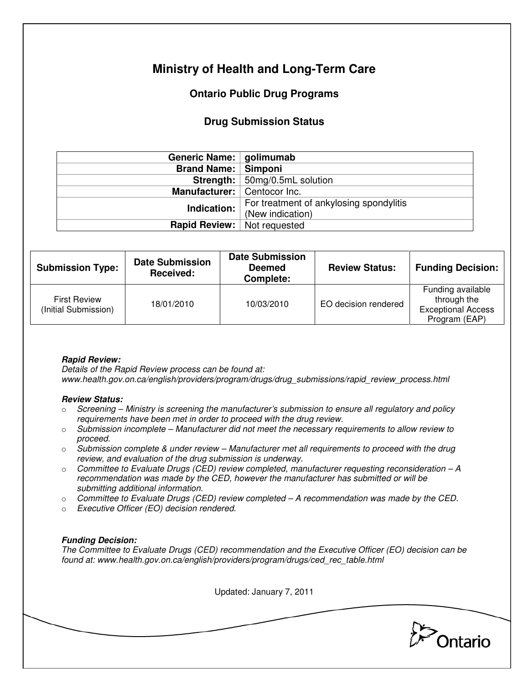# **Ministry of Health and Long-Term Care**

## **Ontario Public Drug Programs**

### **Drug Submission Status**

| Generic Name:   golimumab     |                                                             |  |  |
|-------------------------------|-------------------------------------------------------------|--|--|
| <b>Brand Name:   Simponi</b>  |                                                             |  |  |
|                               | Strength:   50mg/0.5mL solution                             |  |  |
| Manufacturer:   Centocor Inc. |                                                             |  |  |
| Indication:                   | For treatment of ankylosing spondylitis<br>(New indication) |  |  |
| Rapid Review:                 | Not requested                                               |  |  |

| <b>Submission Type:</b>                     | <b>Date Submission</b><br>Received: | <b>Date Submission</b><br><b>Deemed</b><br>Complete: | <b>Review Status:</b> | <b>Funding Decision:</b>                                                       |
|---------------------------------------------|-------------------------------------|------------------------------------------------------|-----------------------|--------------------------------------------------------------------------------|
| <b>First Review</b><br>(Initial Submission) | 18/01/2010                          | 10/03/2010                                           | EO decision rendered  | Funding available<br>through the<br><b>Exceptional Access</b><br>Program (EAP) |

### **Rapid Review:**

Details of the Rapid Review process can be found at: www.health.gov.on.ca/english/providers/program/drugs/drug\_submissions/rapid\_review\_process.html

#### **Review Status:**

- $\circ$  Screening Ministry is screening the manufacturer's submission to ensure all regulatory and policy requirements have been met in order to proceed with the drug review.
- $\circ$  Submission incomplete Manufacturer did not meet the necessary requirements to allow review to proceed.
- $\circ$  Submission complete & under review Manufacturer met all requirements to proceed with the drug review, and evaluation of the drug submission is underway.
- $\circ$  Committee to Evaluate Drugs (CED) review completed, manufacturer requesting reconsideration  $-A$ recommendation was made by the CED, however the manufacturer has submitted or will be submitting additional information.
- $\circ$  Committee to Evaluate Drugs (CED) review completed A recommendation was made by the CED.
- o Executive Officer (EO) decision rendered.

### **Funding Decision:**

The Committee to Evaluate Drugs (CED) recommendation and the Executive Officer (EO) decision can be found at: www.health.gov.on.ca/english/providers/program/drugs/ced\_rec\_table.html

Updated: January 7, 2011

Ontario